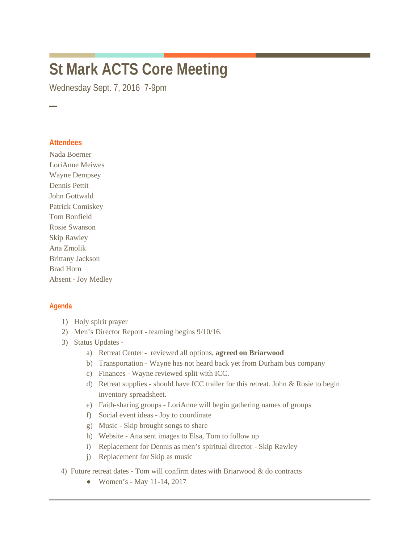## **St Mark ACTS Core Meeting**

Wednesday Sept. 7, 2016 7-9pm

## **Attendees**

─

Nada Boerner LoriAnne Meiwes Wayne Dempsey Dennis Pettit John Gottwald Patrick Comiskey Tom Bonfield Rosie Swanson Skip Rawley Ana Zmolik Brittany Jackson Brad Horn Absent - Joy Medley

## **Agenda**

- 1) Holy spirit prayer
- 2) Men's Director Report teaming begins 9/10/16.
- 3) Status Updates
	- a) Retreat Center reviewed all options, **agreed on Briarwood**
	- b) Transportation Wayne has not heard back yet from Durham bus company
	- c) Finances Wayne reviewed split with ICC.
	- d) Retreat supplies should have ICC trailer for this retreat. John & Rosie to begin inventory spreadsheet.
	- e) Faith-sharing groups LoriAnne will begin gathering names of groups
	- f) Social event ideas Joy to coordinate
	- g) Music Skip brought songs to share
	- h) Website Ana sent images to Elsa, Tom to follow up
	- i) Replacement for Dennis as men's spiritual director Skip Rawley
	- j) Replacement for Skip as music
- 4) Future retreat dates Tom will confirm dates with Briarwood & do contracts
	- Women's May 11-14, 2017